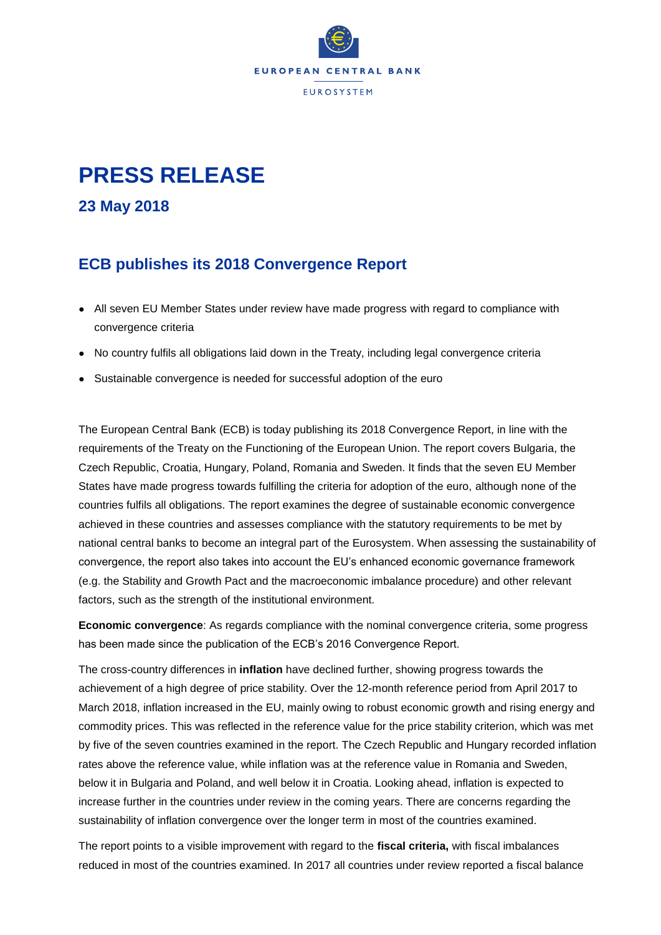

## **PRESS RELEASE**

**23 May 2018**

## **ECB publishes its 2018 Convergence Report**

- All seven EU Member States under review have made progress with regard to compliance with convergence criteria
- No country fulfils all obligations laid down in the Treaty, including legal convergence criteria
- Sustainable convergence is needed for successful adoption of the euro

The European Central Bank (ECB) is today publishing its 2018 Convergence Report, in line with the requirements of the Treaty on the Functioning of the European Union. The report covers Bulgaria, the Czech Republic, Croatia, Hungary, Poland, Romania and Sweden. It finds that the seven EU Member States have made progress towards fulfilling the criteria for adoption of the euro, although none of the countries fulfils all obligations. The report examines the degree of sustainable economic convergence achieved in these countries and assesses compliance with the statutory requirements to be met by national central banks to become an integral part of the Eurosystem. When assessing the sustainability of convergence, the report also takes into account the EU's enhanced economic governance framework (e.g. the Stability and Growth Pact and the macroeconomic imbalance procedure) and other relevant factors, such as the strength of the institutional environment.

**Economic convergence**: As regards compliance with the nominal convergence criteria, some progress has been made since the publication of the ECB's 2016 Convergence Report.

The cross-country differences in **inflation** have declined further, showing progress towards the achievement of a high degree of price stability. Over the 12-month reference period from April 2017 to March 2018, inflation increased in the EU, mainly owing to robust economic growth and rising energy and commodity prices. This was reflected in the reference value for the price stability criterion, which was met by five of the seven countries examined in the report. The Czech Republic and Hungary recorded inflation rates above the reference value, while inflation was at the reference value in Romania and Sweden, below it in Bulgaria and Poland, and well below it in Croatia. Looking ahead, inflation is expected to increase further in the countries under review in the coming years. There are concerns regarding the sustainability of inflation convergence over the longer term in most of the countries examined.

The report points to a visible improvement with regard to the **fiscal criteria,** with fiscal imbalances reduced in most of the countries examined. In 2017 all countries under review reported a fiscal balance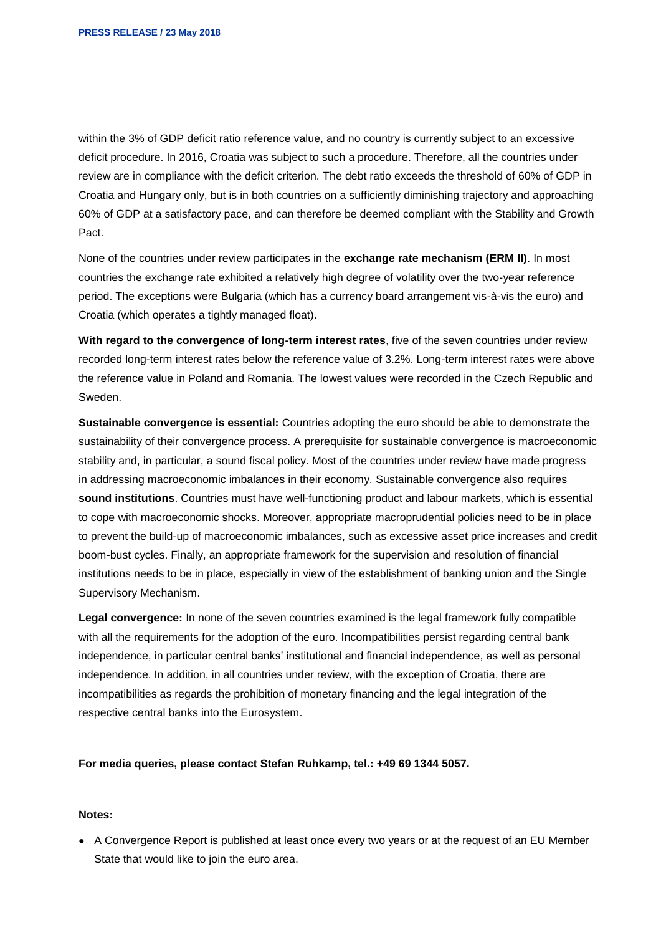within the 3% of GDP deficit ratio reference value, and no country is currently subject to an excessive deficit procedure. In 2016, Croatia was subject to such a procedure. Therefore, all the countries under review are in compliance with the deficit criterion. The debt ratio exceeds the threshold of 60% of GDP in Croatia and Hungary only, but is in both countries on a sufficiently diminishing trajectory and approaching 60% of GDP at a satisfactory pace, and can therefore be deemed compliant with the Stability and Growth Pact.

None of the countries under review participates in the **exchange rate mechanism (ERM II)**. In most countries the exchange rate exhibited a relatively high degree of volatility over the two-year reference period. The exceptions were Bulgaria (which has a currency board arrangement vis-à-vis the euro) and Croatia (which operates a tightly managed float).

**With regard to the convergence of long-term interest rates**, five of the seven countries under review recorded long-term interest rates below the reference value of 3.2%. Long-term interest rates were above the reference value in Poland and Romania. The lowest values were recorded in the Czech Republic and Sweden.

**Sustainable convergence is essential:** Countries adopting the euro should be able to demonstrate the sustainability of their convergence process. A prerequisite for sustainable convergence is macroeconomic stability and, in particular, a sound fiscal policy. Most of the countries under review have made progress in addressing macroeconomic imbalances in their economy. Sustainable convergence also requires **sound institutions**. Countries must have well-functioning product and labour markets, which is essential to cope with macroeconomic shocks. Moreover, appropriate macroprudential policies need to be in place to prevent the build-up of macroeconomic imbalances, such as excessive asset price increases and credit boom-bust cycles. Finally, an appropriate framework for the supervision and resolution of financial institutions needs to be in place, especially in view of the establishment of banking union and the Single Supervisory Mechanism.

**Legal convergence:** In none of the seven countries examined is the legal framework fully compatible with all the requirements for the adoption of the euro. Incompatibilities persist regarding central bank independence, in particular central banks' institutional and financial independence, as well as personal independence. In addition, in all countries under review, with the exception of Croatia, there are incompatibilities as regards the prohibition of monetary financing and the legal integration of the respective central banks into the Eurosystem.

**For media queries, please contact Stefan Ruhkamp, tel.: +49 69 1344 5057.**

## **Notes:**

● A Convergence Report is published at least once every two years or at the request of an EU Member State that would like to join the euro area.